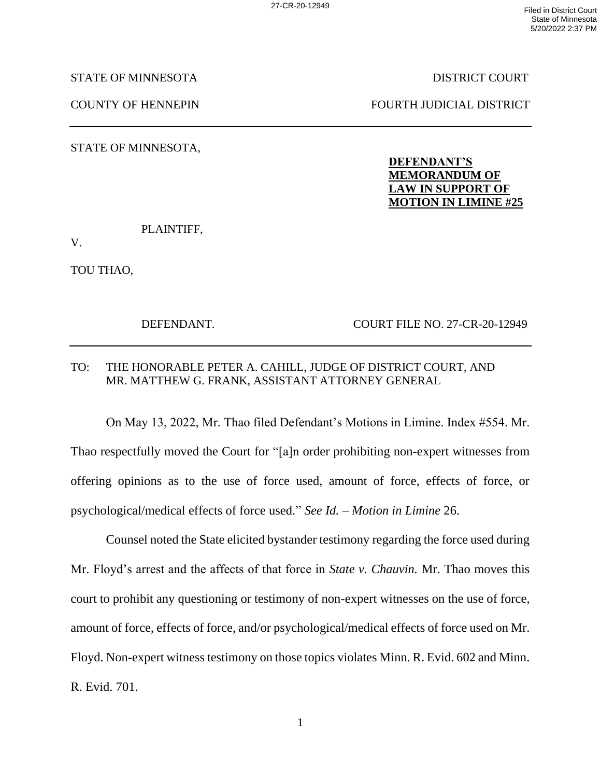STATE OF MINNESOTA DISTRICT COURT

COUNTY OF HENNEPIN FOURTH JUDICIAL DISTRICT

STATE OF MINNESOTA,

## **DEFENDANT'S MEMORANDUM OF LAW IN SUPPORT OF MOTION IN LIMINE #25**

PLAINTIFF,

V.

TOU THAO,

DEFENDANT. COURT FILE NO. 27-CR-20-12949

## TO: THE HONORABLE PETER A. CAHILL, JUDGE OF DISTRICT COURT, AND MR. MATTHEW G. FRANK, ASSISTANT ATTORNEY GENERAL

On May 13, 2022, Mr. Thao filed Defendant's Motions in Limine. Index #554. Mr. Thao respectfully moved the Court for "[a]n order prohibiting non-expert witnesses from offering opinions as to the use of force used, amount of force, effects of force, or psychological/medical effects of force used." *See Id.* – *Motion in Limine* 26.

Counsel noted the State elicited bystander testimony regarding the force used during Mr. Floyd's arrest and the affects of that force in *State v. Chauvin.* Mr. Thao moves this court to prohibit any questioning or testimony of non-expert witnesses on the use of force, amount of force, effects of force, and/or psychological/medical effects of force used on Mr. Floyd. Non-expert witness testimony on those topics violates Minn. R. Evid. 602 and Minn. R. Evid. 701.